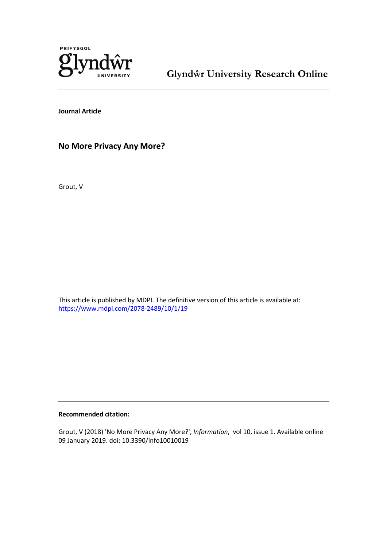

**Glyndŵr University Research Online**

**Journal Article**

**No More Privacy Any More?**

Grout, V

This article is published by MDPI. The definitive version of this article is available at: <https://www.mdpi.com/2078-2489/10/1/19>

## **Recommended citation:**

Grout, V (2018) 'No More Privacy Any More?', *Information*, vol 10, issue 1. Available online 09 January 2019. doi: 10.3390/info10010019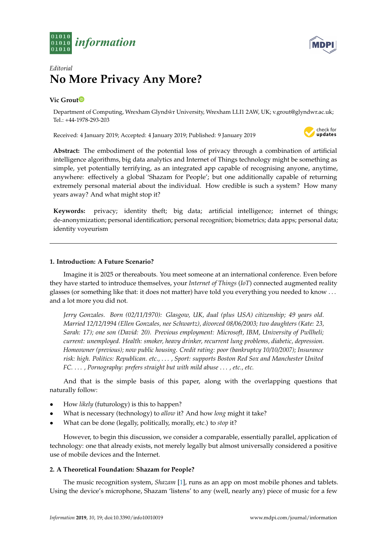



# *Editorial* **No More Privacy Any More?**

# **Vic Grou[t](https://orcid.org/0000-0003-4330-0137)**

Department of Computing, Wrexham Glyndwr University, Wrexham LLI1 2AW, UK; v.grout@glyndwr.ac.uk; ˆ Tel.: +44-1978-293-203

Received: 4 January 2019; Accepted: 4 January 2019; Published: 9 January 2019



**Abstract:** The embodiment of the potential loss of privacy through a combination of artificial intelligence algorithms, big data analytics and Internet of Things technology might be something as simple, yet potentially terrifying, as an integrated app capable of recognising anyone, anytime, anywhere: effectively a global 'Shazam for People'; but one additionally capable of returning extremely personal material about the individual. How credible is such a system? How many years away? And what might stop it?

**Keywords:** privacy; identity theft; big data; artificial intelligence; internet of things; de-anonymization; personal identification; personal recognition; biometrics; data apps; personal data; identity voyeurism

# **1. Introduction: A Future Scenario?**

Imagine it is 2025 or thereabouts. You meet someone at an international conference. Even before they have started to introduce themselves, your *Internet of Things* (*IoT*) connected augmented reality glasses (or something like that: it does not matter) have told you everything you needed to know . . . and a lot more you did not.

*Jerry Gonzales. Born (02/11/1970): Glasgow, UK, dual (plus USA) citizenship; 49 years old. Married 12/12/1994 (Ellen Gonzales, nee Schwartz), divorced 08/06/2003; two daughters (Kate: 23, Sarah: 17); one son (David: 20). Previous employment: Microsoft, IBM, University of Pwllheli; current: unemployed. Health: smoker, heavy drinker, recurrent lung problems, diabetic, depression. Homeowner (previous); now public housing. Credit rating: poor (bankruptcy 10/10/2007); Insurance risk: high. Politics: Republican. etc.,* . . . *, Sport: supports Boston Red Sox and Manchester United FC.* . . . *, Pornography: prefers straight but with mild abuse* . . . *, etc., etc.*

And that is the simple basis of this paper, along with the overlapping questions that naturally follow:

- How *likely* (futurology) is this to happen?
- What is necessary (technology) to *allow* it? And how *long* might it take?
- What can be done (legally, politically, morally, etc.) to *stop* it?

However, to begin this discussion, we consider a comparable, essentially parallel, application of technology: one that already exists, not merely legally but almost universally considered a positive use of mobile devices and the Internet.

## **2. A Theoretical Foundation: Shazam for People?**

The music recognition system, *Shazam* [\[1\]](#page-6-0), runs as an app on most mobile phones and tablets. Using the device's microphone, Shazam 'listens' to any (well, nearly any) piece of music for a few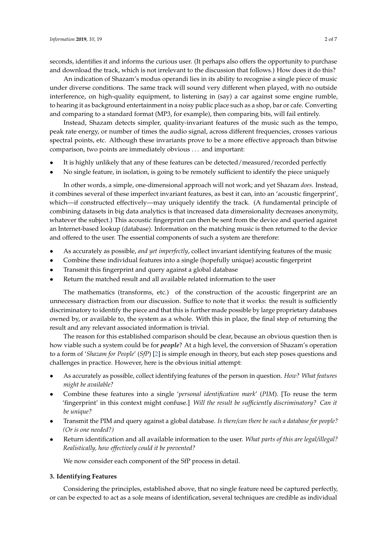seconds, identifies it and informs the curious user. (It perhaps also offers the opportunity to purchase and download the track, which is not irrelevant to the discussion that follows.) How does it do this?

An indication of Shazam's modus operandi lies in its ability to recognise a single piece of music under diverse conditions. The same track will sound very different when played, with no outside interference, on high-quality equipment, to listening in (say) a car against some engine rumble, to hearing it as background entertainment in a noisy public place such as a shop, bar or cafe. Converting and comparing to a standard format (MP3, for example), then comparing bits, will fail entirely.

Instead, Shazam detects simpler, quality-invariant features of the music such as the tempo, peak rate energy, or number of times the audio signal, across different frequencies, crosses various spectral points, etc. Although these invariants prove to be a more effective approach than bitwise comparison, two points are immediately obvious . . . and important:

- It is highly unlikely that any of these features can be detected/measured/recorded perfectly
- No single feature, in isolation, is going to be remotely sufficient to identify the piece uniquely

In other words, a simple, one-dimensional approach will not work; and yet Shazam *does*. Instead, it combines several of these imperfect invariant features, as best it can, into an 'acoustic fingerprint', which—if constructed effectively—may uniquely identify the track. (A fundamental principle of combining datasets in big data analytics is that increased data dimensionality decreases anonymity, whatever the subject.) This acoustic fingerprint can then be sent from the device and queried against an Internet-based lookup (database). Information on the matching music is then returned to the device and offered to the user. The essential components of such a system are therefore:

- As accurately as possible, *and yet imperfectly*, collect invariant identifying features of the music
- Combine these individual features into a single (hopefully unique) acoustic fingerprint
- Transmit this fingerprint and query against a global database
- Return the matched result and all available related information to the user

The mathematics (transforms, etc.) of the construction of the acoustic fingerprint are an unnecessary distraction from our discussion. Suffice to note that it works: the result is sufficiently discriminatory to identify the piece and that this is further made possible by large proprietary databases owned by, or available to, the system as a whole. With this in place, the final step of returning the result and any relevant associated information is trivial.

The reason for this established comparison should be clear, because an obvious question then is how viable such a system could be for *people*? At a high level, the conversion of Shazam's operation to a form of '*Shazam for People*' (*SfP*) [\[2\]](#page-6-1) is simple enough in theory, but each step poses questions and challenges in practice. However, here is the obvious initial attempt:

- As accurately as possible, collect identifying features of the person in question. *How? What features might be available?*
- Combine these features into a single '*personal identification mark*' (*PIM*). [To reuse the term 'fingerprint' in this context might confuse.] *Will the result be sufficiently discriminatory? Can it be unique?*
- Transmit the PIM and query against a global database. *Is there/can there be such a database for people? (Or is one needed?)*
- Return identification and all available information to the user. *What parts of this are legal/illegal? Realistically, how effectively could it be prevented?*

We now consider each component of the SfP process in detail.

# **3. Identifying Features**

Considering the principles, established above, that no single feature need be captured perfectly, or can be expected to act as a sole means of identification, several techniques are credible as individual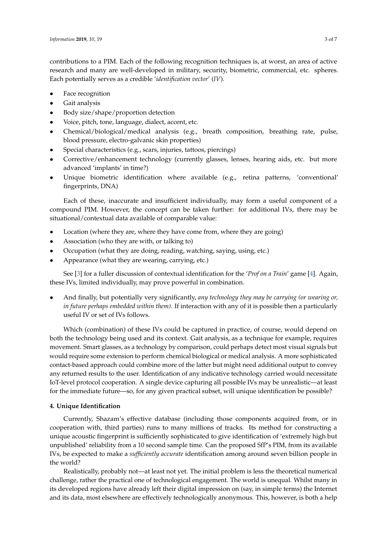contributions to a PIM. Each of the following recognition techniques is, at worst, an area of active research and many are well-developed in military, security, biometric, commercial, etc. spheres. Each potentially serves as a credible '*identification vector*' (*IV*).

- Face recognition
- Gait analysis
- Body size/shape/proportion detection
- Voice, pitch, tone, language, dialect, accent, etc.
- Chemical/biological/medical analysis (e.g., breath composition, breathing rate, pulse, blood pressure, electro-galvanic skin properties)
- Special characteristics (e.g., scars, injuries, tattoos, piercings)
- Corrective/enhancement technology (currently glasses, lenses, hearing aids, etc. but more advanced 'implants' in time?)
- Unique biometric identification where available (e.g., retina patterns, 'conventional' fingerprints, DNA)

Each of these, inaccurate and insufficient individually, may form a useful component of a compound PIM. However, the concept can be taken further: for additional IVs, there may be situational/contextual data available of comparable value:

- Location (where they are, where they have come from, where they are going)
- Association (who they are with, or talking to)
- Occupation (what they are doing, reading, watching, saying, using, etc.)
- Appearance (what they are wearing, carrying, etc.)

See [\[3\]](#page-6-2) for a fuller discussion of contextual identification for the '*Prof on a Train*' game [\[4\]](#page-6-3). Again, these IVs, limited individually, may prove powerful in combination.

• And finally, but potentially very significantly, *any technology they may be carrying (or wearing or, in future perhaps embedded within them).* If interaction with any of it is possible then a particularly useful IV or set of IVs follows.

Which (combination) of these IVs could be captured in practice, of course, would depend on both the technology being used and its context. Gait analysis, as a technique for example, requires movement. Smart glasses, as a technology by comparison, could perhaps detect most visual signals but would require some extension to perform chemical biological or medical analysis. A more sophisticated contact-based approach could combine more of the latter but might need additional output to convey any returned results to the user. Identification of any indicative technology carried would necessitate IoT-level protocol cooperation. A single device capturing all possible IVs may be unrealistic—at least for the immediate future—so, for any given practical subset, will unique identification be possible?

# **4. Unique Identification**

Currently, Shazam's effective database (including those components acquired from, or in cooperation with, third parties) runs to many millions of tracks. Its method for constructing a unique acoustic fingerprint is sufficiently sophisticated to give identification of 'extremely high but unpublished' reliability from a 10 second sample time. Can the proposed SfP's PIM, from its available IVs, be expected to make a *sufficiently accurate* identification among around seven billion people in the world?

Realistically, probably not—at least not yet. The initial problem is less the theoretical numerical challenge, rather the practical one of technological engagement. The world is unequal. Whilst many in its developed regions have already left their digital impression on (say, in simple terms) the Internet and its data, most elsewhere are effectively technologically anonymous. This, however, is both a help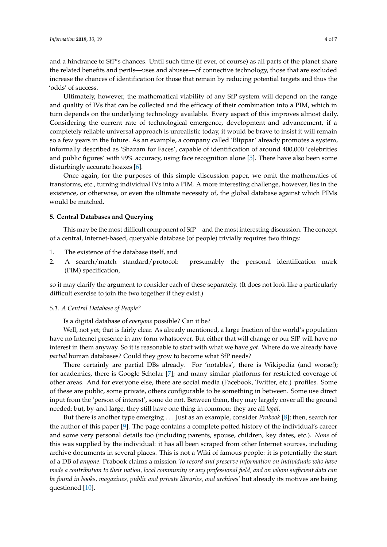and a hindrance to SfP's chances. Until such time (if ever, of course) as all parts of the planet share the related benefits and perils—uses and abuses—of connective technology, those that are excluded increase the chances of identification for those that remain by reducing potential targets and thus the 'odds' of success.

Ultimately, however, the mathematical viability of any SfP system will depend on the range and quality of IVs that can be collected and the efficacy of their combination into a PIM, which in turn depends on the underlying technology available. Every aspect of this improves almost daily. Considering the current rate of technological emergence, development and advancement, if a completely reliable universal approach is unrealistic today, it would be brave to insist it will remain so a few years in the future. As an example, a company called 'Blippar' already promotes a system, informally described as 'Shazam for Faces', capable of identification of around 400,000 'celebrities and public figures' with 99% accuracy, using face recognition alone [\[5\]](#page-6-4). There have also been some disturbingly accurate hoaxes [\[6\]](#page-6-5).

Once again, for the purposes of this simple discussion paper, we omit the mathematics of transforms, etc., turning individual IVs into a PIM. A more interesting challenge, however, lies in the existence, or otherwise, or even the ultimate necessity of, the global database against which PIMs would be matched.

## **5. Central Databases and Querying**

This may be the most difficult component of SfP—and the most interesting discussion. The concept of a central, Internet-based, queryable database (of people) trivially requires two things:

- 1. The existence of the database itself, and
- 2. A search/match standard/protocol: presumably the personal identification mark (PIM) specification,

so it may clarify the argument to consider each of these separately. (It does not look like a particularly difficult exercise to join the two together if they exist.)

## *5.1. A Central Database of People?*

Is a digital database of *everyone* possible? Can it be?

Well, not yet; that is fairly clear. As already mentioned, a large fraction of the world's population have no Internet presence in any form whatsoever. But either that will change or our SfP will have no interest in them anyway. So it is reasonable to start with what we have *got*. Where do we already have *partial* human databases? Could they grow to become what SfP needs?

There certainly are partial DBs already. For 'notables', there is Wikipedia (and worse!); for academics, there is Google Scholar [\[7\]](#page-6-6); and many similar platforms for restricted coverage of other areas. And for everyone else, there are social media (Facebook, Twitter, etc.) profiles. Some of these are public, some private, others configurable to be something in between. Some use direct input from the 'person of interest', some do not. Between them, they may largely cover all the ground needed; but, by-and-large, they still have one thing in common: they are all *legal*.

But there is another type emerging . . . Just as an example, consider *Prabook* [\[8\]](#page-6-7); then, search for the author of this paper [\[9\]](#page-6-8). The page contains a complete potted history of the individual's career and some very personal details too (including parents, spouse, children, key dates, etc.). *None* of this was supplied by the individual: it has all been scraped from other Internet sources, including archive documents in several places. This is not a Wiki of famous people: it is potentially the start of a DB of *anyone*. Prabook claims a mission *'to record and preserve information on individuals who have made a contribution to their nation, local community or any professional field, and on whom sufficient data can be found in books, magazines, public and private libraries, and archives'* but already its motives are being questioned [\[10\]](#page-6-9).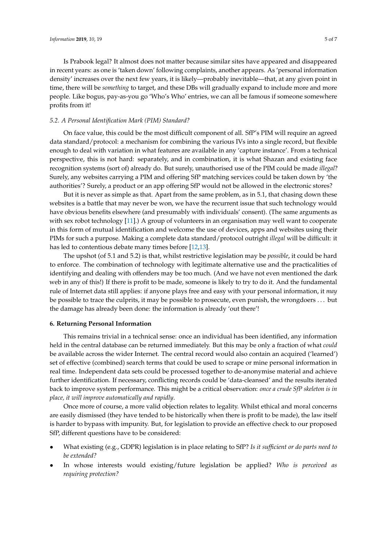Is Prabook legal? It almost does not matter because similar sites have appeared and disappeared in recent years: as one is 'taken down' following complaints, another appears. As 'personal information density' increases over the next few years, it is likely—probably inevitable—that, at any given point in time, there will be *something* to target, and these DBs will gradually expand to include more and more people. Like bogus, pay-as-you go 'Who's Who' entries, we can all be famous if someone somewhere profits from it!

## *5.2. A Personal Identification Mark (PIM) Standard?*

On face value, this could be the most difficult component of all. SfP's PIM will require an agreed data standard/protocol: a mechanism for combining the various IVs into a single record, but flexible enough to deal with variation in what features are available in any 'capture instance'. From a technical perspective, this is not hard: separately, and in combination, it is what Shazan and existing face recognition systems (sort of) already do. But surely, unauthorised use of the PIM could be made *illegal*? Surely, any websites carrying a PIM and offering SfP matching services could be taken down by 'the authorities'? Surely, a product or an app offering SfP would not be allowed in the electronic stores?

But it is never as simple as that. Apart from the same problem, as in 5.1, that chasing down these websites is a battle that may never be won, we have the recurrent issue that such technology would have obvious benefits elsewhere (and presumably with individuals' consent). (The same arguments as with sex robot technology [\[11\]](#page-7-0).) A group of volunteers in an organisation may well want to cooperate in this form of mutual identification and welcome the use of devices, apps and websites using their PIMs for such a purpose. Making a complete data standard/protocol outright *illegal* will be difficult: it has led to contentious debate many times before [\[12](#page-7-1)[,13\]](#page-7-2).

The upshot (of 5.1 and 5.2) is that, whilst restrictive legislation may be *possible*, it could be hard to enforce. The combination of technology with legitimate alternative use and the practicalities of identifying and dealing with offenders may be too much. (And we have not even mentioned the dark web in any of this!) If there is profit to be made, someone is likely to try to do it. And the fundamental rule of Internet data still applies: if anyone plays free and easy with your personal information, it *may* be possible to trace the culprits, it may be possible to prosecute, even punish, the wrongdoers . . . but the damage has already been done: the information is already 'out there'!

## **6. Returning Personal Information**

This remains trivial in a technical sense: once an individual has been identified, any information held in the central database can be returned immediately. But this may be only a fraction of what *could* be available across the wider Internet. The central record would also contain an acquired ('learned') set of effective (combined) search terms that could be used to scrape or mine personal information in real time. Independent data sets could be processed together to de-anonymise material and achieve further identification. If necessary, conflicting records could be 'data-cleansed' and the results iterated back to improve system performance. This might be a critical observation: *once a crude SfP skeleton is in place, it will improve automatically and rapidly*.

Once more of course, a more valid objection relates to legality. Whilst ethical and moral concerns are easily dismissed (they have tended to be historically when there is profit to be made), the law itself is harder to bypass with impunity. But, for legislation to provide an effective check to our proposed SfP, different questions have to be considered:

- What existing (e.g., GDPR) legislation is in place relating to SfP? *Is it sufficient or do parts need to be extended?*
- In whose interests would existing/future legislation be applied? *Who is perceived as requiring protection?*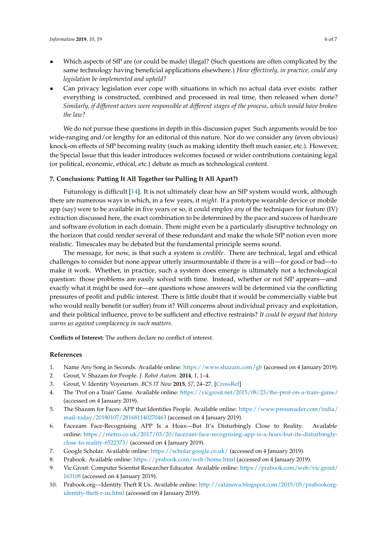- Which aspects of SfP are (or could be made) illegal? (Such questions are often complicated by the same technology having beneficial applications elsewhere.) *How effectively, in practice, could any legislation be implemented and upheld?*
- Can privacy legislation ever cope with situations in which no actual data ever exists: rather everything is constructed, combined and processed in real time, then released when done? *Similarly, if different actors were responsible at different stages of the process, which would have broken the law?*

We do not pursue these questions in depth in this discussion paper. Such arguments would be too wide-ranging and/or lengthy for an editorial of this nature. Nor do we consider any (even obvious) knock-on effects of SfP becoming reality (such as making identity theft much easier, etc.). However, the Special Issue that this leader introduces welcomes focused or wider contributions containing legal (or political, economic, ethical, etc.) debate as much as technological content.

## **7. Conclusions: Putting It All Together (or Pulling It All Apart?)**

Futurology is difficult [\[14\]](#page-7-3). It is not ultimately clear how an SfP system would work, although there are numerous ways in which, in a few years, it *might*. If a prototype wearable device or mobile app (say) were to be available in five years or so, it could employ *any* of the techniques for feature (IV) extraction discussed here, the exact combination to be determined by the pace and success of hardware and software evolution in each domain. There might even be a particularly disruptive technology on the horizon that could render several of these redundant and make the whole SfP notion even more realistic. Timescales may be debated but the fundamental principle seems sound.

The message, for now, is that such a system is *credible*. There are technical, legal and ethical challenges to consider but none appear utterly insurmountable if there is a will—for good or bad—to make it work. Whether, in practice, such a system does emerge is ultimately not a technological question: those problems are easily solved with time. Instead, whether or not SfP appears—and exactly what it might be used for—are questions whose answers will be determined via the conflicting pressures of profit and public interest. There is little doubt that it would be commercially viable but who would really benefit (or suffer) from it? Will concerns about individual privacy and exploitation, and their political influence, prove to be sufficient and effective restraints? *It could be argued that history warns us against complacency in such matters.*

**Conflicts of Interest:** The authors declare no conflict of interest.

## **References**

- <span id="page-6-0"></span>1. Name Any Song in Seconds. Available online: <https://www.shazam.com/gb> (accessed on 4 January 2019).
- <span id="page-6-1"></span>2. Grout, V. Shazam for People. *J. Robot Autom.* **2014**, *1*, 1–4.
- <span id="page-6-2"></span>3. Grout, V. Identity Voyeurism. *BCS IT Now* **2015**, *57*, 24–27. [\[CrossRef\]](http://dx.doi.org/10.1093/itnow/bwv067)
- <span id="page-6-3"></span>4. The 'Prof on a Train' Game. Available online: <https://vicgrout.net/2015/08/23/the-prof-on-a-train-game/> (accessed on 4 January 2019).
- <span id="page-6-4"></span>5. The Shazam for Faces: APP that Identifies People. Available online: [https://www.pressreader.com/india/](https://www.pressreader.com/india/mail-today/20180107/281681140270463) [mail-today/20180107/281681140270463](https://www.pressreader.com/india/mail-today/20180107/281681140270463) (accessed on 4 January 2019).
- <span id="page-6-5"></span>6. Facezam Face-Recognising APP Is a Hoax—But It's Disturbingly Close to Reality. Available online: [https://metro.co.uk/2017/03/20/facezam-face-recognising-app-is-a-hoax-but-its-disturbingly](https://metro.co.uk/2017/03/20/facezam-face-recognising-app-is-a-hoax-but-its-disturbingly-close-to-reality-6522373/)[close-to-reality-6522373/](https://metro.co.uk/2017/03/20/facezam-face-recognising-app-is-a-hoax-but-its-disturbingly-close-to-reality-6522373/) (accessed on 4 January 2019).
- <span id="page-6-6"></span>7. Google Scholar. Available online: <https://scholar.google.co.uk/> (accessed on 4 January 2019).
- <span id="page-6-7"></span>8. Prabook. Available online: <https://prabook.com/web/home.html> (accessed on 4 January 2019).
- <span id="page-6-8"></span>9. Vic Grout: Computer Scientist Researcher Educator. Available online: [https://prabook.com/web/vic.grout/](https://prabook.com/web/vic.grout/163108) [163108](https://prabook.com/web/vic.grout/163108) (accessed on 4 January 2019).
- <span id="page-6-9"></span>10. Prabook.org—Identity Theft R Us. Available online: [http://catanova.blogspot.com/2015/05/prabookorg](http://catanova.blogspot.com/2015/05/prabookorg-identity-theft-r-us.html)[identity-theft-r-us.html](http://catanova.blogspot.com/2015/05/prabookorg-identity-theft-r-us.html) (accessed on 4 January 2019).